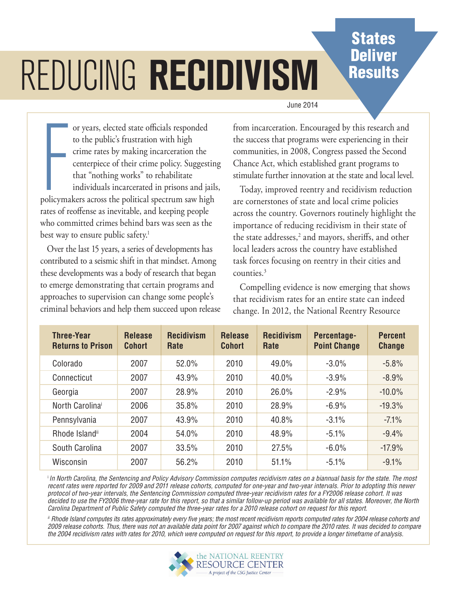## **States Deliver Results**

# Reducing recidivism

#### June 2014

or years, elected state officials responded<br>to the public's frustration with high<br>crime rates by making incarceration the<br>centerpiece of their crime policy. Suggestin<br>that "nothing works" to rehabilitate<br>individuals incarc or years, elected state officials responded to the public's frustration with high crime rates by making incarceration the centerpiece of their crime policy. Suggesting that "nothing works" to rehabilitate individuals incarcerated in prisons and jails, rates of reoffense as inevitable, and keeping people who committed crimes behind bars was seen as the best way to ensure public safety.<sup>1</sup>

Over the last 15 years, a series of developments has contributed to a seismic shift in that mindset. Among these developments was a body of research that began to emerge demonstrating that certain programs and approaches to supervision can change some people's criminal behaviors and help them succeed upon release from incarceration. Encouraged by this research and the success that programs were experiencing in their communities, in 2008, Congress passed the Second Chance Act, which established grant programs to stimulate further innovation at the state and local level.

Today, improved reentry and recidivism reduction are cornerstones of state and local crime policies across the country. Governors routinely highlight the importance of reducing recidivism in their state of the state addresses, $^2$  and mayors, sheriffs, and other local leaders across the country have established task forces focusing on reentry in their cities and counties.<sup>3</sup>

Compelling evidence is now emerging that shows that recidivism rates for an entire state can indeed change. In 2012, the National Reentry Resource

| <b>Three-Year</b><br><b>Returns to Prison</b> | <b>Release</b><br><b>Cohort</b> | <b>Recidivism</b><br>Rate | <b>Release</b><br><b>Cohort</b> | <b>Recidivism</b><br><b>Rate</b> | Percentage-<br><b>Point Change</b> | <b>Percent</b><br><b>Change</b> |
|-----------------------------------------------|---------------------------------|---------------------------|---------------------------------|----------------------------------|------------------------------------|---------------------------------|
| Colorado                                      | 2007                            | 52.0%                     | 2010                            | 49.0%                            | $-3.0%$                            | $-5.8%$                         |
| Connecticut                                   | 2007                            | 43.9%                     | 2010                            | 40.0%                            | $-3.9%$                            | $-8.9%$                         |
| Georgia                                       | 2007                            | 28.9%                     | 2010                            | 26.0%                            | $-2.9%$                            | $-10.0\%$                       |
| North Carolinai                               | 2006                            | 35.8%                     | 2010                            | 28.9%                            | $-6.9%$                            | $-19.3%$                        |
| Pennsylvania                                  | 2007                            | 43.9%                     | 2010                            | 40.8%                            | $-3.1%$                            | $-7.1\%$                        |
| Rhode Islandii                                | 2004                            | 54.0%                     | 2010                            | 48.9%                            | $-5.1\%$                           | $-9.4%$                         |
| South Carolina                                | 2007                            | 33.5%                     | 2010                            | 27.5%                            | $-6.0\%$                           | $-17.9%$                        |
| Wisconsin                                     | 2007                            | 56.2%                     | 2010                            | 51.1%                            | $-5.1%$                            | $-9.1%$                         |

<sup>i</sup>*In North Carolina, the Sentencing and Policy Advisory Commission computes recidivism rates on a biannual basis for the state. The most recent rates were reported for 2009 and 2011 release cohorts, computed for one-year and two-year intervals. Prior to adopting this newer protocol of two-year intervals, the Sentencing Commission computed three-year recidivism rates for a FY2006 release cohort. It was decided to use the FY2006 three-year rate for this report, so that a similar follow-up period was available for all states. Moreover, the North Carolina Department of Public Safety computed the three-year rates for a 2010 release cohort on request for this report.*

*ii Rhode Island computes its rates approximately every five years; the most recent recidivism reports computed rates for 2004 release cohorts and 2009 release cohorts. Thus, there was not an available data point for 2007 against which to compare the 2010 rates. It was decided to compare the 2004 recidivism rates with rates for 2010, which were computed on request for this report, to provide a longer timeframe of analysis.*

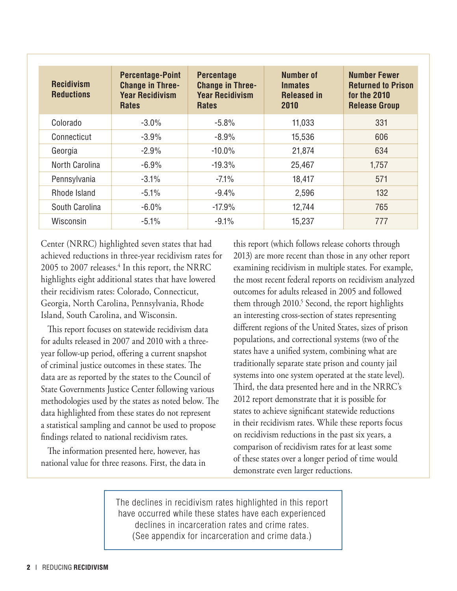| <b>Recidivism</b><br><b>Reductions</b> | <b>Percentage-Point</b><br><b>Change in Three-</b><br><b>Year Recidivism</b><br><b>Rates</b> | <b>Percentage</b><br><b>Change in Three-</b><br><b>Year Recidivism</b><br><b>Rates</b> | <b>Number of</b><br><b>Inmates</b><br><b>Released in</b><br>2010 | <b>Number Fewer</b><br><b>Returned to Prison</b><br>for the 2010<br><b>Release Group</b> |
|----------------------------------------|----------------------------------------------------------------------------------------------|----------------------------------------------------------------------------------------|------------------------------------------------------------------|------------------------------------------------------------------------------------------|
| Colorado                               | $-3.0\%$                                                                                     | $-5.8%$                                                                                | 11,033                                                           | 331                                                                                      |
| Connecticut                            | $-3.9%$                                                                                      | $-8.9%$                                                                                | 15,536                                                           | 606                                                                                      |
| Georgia                                | $-2.9%$                                                                                      | $-10.0\%$                                                                              | 21,874                                                           | 634                                                                                      |
| North Carolina                         | $-6.9%$                                                                                      | $-19.3%$                                                                               | 25,467                                                           | 1,757                                                                                    |
| Pennsylvania                           | $-3.1%$                                                                                      | $-7.1\%$                                                                               | 18,417                                                           | 571                                                                                      |
| Rhode Island                           | $-5.1%$                                                                                      | $-9.4%$                                                                                | 2,596                                                            | 132                                                                                      |
| South Carolina                         | $-6.0\%$                                                                                     | $-17.9%$                                                                               | 12,744                                                           | 765                                                                                      |
| Wisconsin                              | $-5.1%$                                                                                      | $-9.1%$                                                                                | 15,237                                                           | 777                                                                                      |

Center (NRRC) highlighted seven states that had achieved reductions in three-year recidivism rates for 2005 to 2007 releases.<sup>4</sup> In this report, the NRRC highlights eight additional states that have lowered their recidivism rates: Colorado, Connecticut, Georgia, North Carolina, Pennsylvania, Rhode Island, South Carolina, and Wisconsin.

This report focuses on statewide recidivism data for adults released in 2007 and 2010 with a threeyear follow-up period, offering a current snapshot of criminal justice outcomes in these states. The data are as reported by the states to the Council of State Governments Justice Center following various methodologies used by the states as noted below. The data highlighted from these states do not represent a statistical sampling and cannot be used to propose findings related to national recidivism rates.

The information presented here, however, has national value for three reasons. First, the data in this report (which follows release cohorts through 2013) are more recent than those in any other report examining recidivism in multiple states. For example, the most recent federal reports on recidivism analyzed outcomes for adults released in 2005 and followed them through 2010.<sup>5</sup> Second, the report highlights an interesting cross-section of states representing different regions of the United States, sizes of prison populations, and correctional systems (two of the states have a unified system, combining what are traditionally separate state prison and county jail systems into one system operated at the state level). Third, the data presented here and in the NRRC's 2012 report demonstrate that it is possible for states to achieve significant statewide reductions in their recidivism rates. While these reports focus on recidivism reductions in the past six years, a comparison of recidivism rates for at least some of these states over a longer period of time would demonstrate even larger reductions.

The declines in recidivism rates highlighted in this report have occurred while these states have each experienced declines in incarceration rates and crime rates. (See appendix for incarceration and crime data.)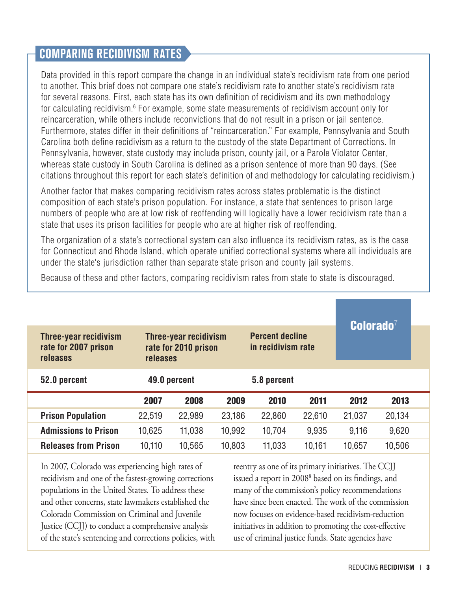#### Comparing Recidivism Rates

Data provided in this report compare the change in an individual state's recidivism rate from one period to another. This brief does not compare one state's recidivism rate to another state's recidivism rate for several reasons. First, each state has its own definition of recidivism and its own methodology for calculating recidivism.<sup>6</sup> For example, some state measurements of recidivism account only for reincarceration, while others include reconvictions that do not result in a prison or jail sentence. Furthermore, states differ in their definitions of "reincarceration." For example, Pennsylvania and South Carolina both define recidivism as a return to the custody of the state Department of Corrections. In Pennsylvania, however, state custody may include prison, county jail, or a Parole Violator Center, whereas state custody in South Carolina is defined as a prison sentence of more than 90 days. (See citations throughout this report for each state's definition of and methodology for calculating recidivism.)

Another factor that makes comparing recidivism rates across states problematic is the distinct composition of each state's prison population. For instance, a state that sentences to prison large numbers of people who are at low risk of reoffending will logically have a lower recidivism rate than a state that uses its prison facilities for people who are at higher risk of reoffending.

The organization of a state's correctional system can also influence its recidivism rates, as is the case for Connecticut and Rhode Island, which operate unified correctional systems where all individuals are under the state's jurisdiction rather than separate state prison and county jail systems.

| Three-year recidivism<br>rate for 2007 prison<br>releases | Three-year recidivism<br>rate for 2010 prison<br><b>releases</b> | $\mathbf C$ olorado $^7$ |        |             |        |        |        |  |
|-----------------------------------------------------------|------------------------------------------------------------------|--------------------------|--------|-------------|--------|--------|--------|--|
| 52.0 percent                                              |                                                                  | 49.0 percent             |        | 5.8 percent |        |        |        |  |
|                                                           | 2007                                                             | 2008                     | 2009   | 2010        | 2011   | 2012   | 2013   |  |
| <b>Prison Population</b>                                  | 22,519                                                           | 22,989                   | 23,186 | 22,860      | 22,610 | 21,037 | 20,134 |  |
| <b>Admissions to Prison</b>                               | 10,625                                                           | 11,038                   | 10,992 | 10,704      | 9.935  | 9.116  | 9,620  |  |
| <b>Releases from Prison</b>                               | 10,110                                                           | 10,565                   | 10,803 | 11,033      | 10,161 | 10,657 | 10,506 |  |

Because of these and other factors, comparing recidivism rates from state to state is discouraged.

In 2007, Colorado was experiencing high rates of recidivism and one of the fastest-growing corrections populations in the United States. To address these and other concerns, state lawmakers established the Colorado Commission on Criminal and Juvenile Justice (CCJJ) to conduct a comprehensive analysis of the state's sentencing and corrections policies, with reentry as one of its primary initiatives. The CCJJ issued a report in 2008<sup>8</sup> based on its findings, and many of the commission's policy recommendations have since been enacted. The work of the commission now focuses on evidence-based recidivism-reduction initiatives in addition to promoting the cost-effective use of criminal justice funds. State agencies have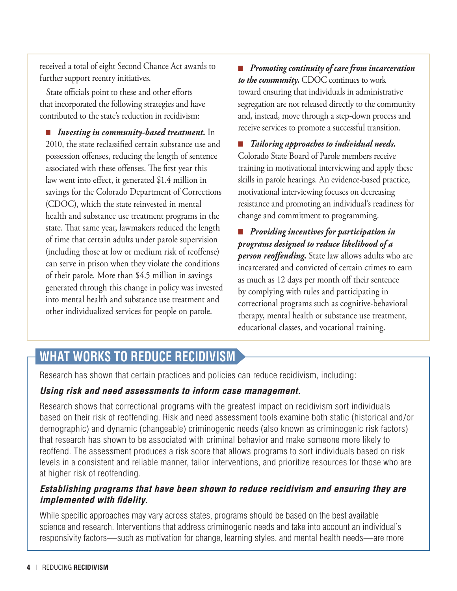received a total of eight Second Chance Act awards to further support reentry initiatives.

State officials point to these and other efforts that incorporated the following strategies and have contributed to the state's reduction in recidivism:

■ *Investing in community-based treatment.* In 2010, the state reclassified certain substance use and possession offenses, reducing the length of sentence associated with these offenses. The first year this law went into effect, it generated \$1.4 million in savings for the Colorado Department of Corrections (CDOC), which the state reinvested in mental health and substance use treatment programs in the state. That same year, lawmakers reduced the length of time that certain adults under parole supervision (including those at low or medium risk of reoffense) can serve in prison when they violate the conditions of their parole. More than \$4.5 million in savings generated through this change in policy was invested into mental health and substance use treatment and other individualized services for people on parole.

■ *Promoting continuity of care from incarceration to the community.* CDOC continues to work toward ensuring that individuals in administrative segregation are not released directly to the community and, instead, move through a step-down process and receive services to promote a successful transition.

■ *Tailoring approaches to individual needs.*  Colorado State Board of Parole members receive training in motivational interviewing and apply these skills in parole hearings. An evidence-based practice, motivational interviewing focuses on decreasing resistance and promoting an individual's readiness for change and commitment to programming.

■ *Providing incentives for participation in programs designed to reduce likelihood of a person reoffending.* State law allows adults who are incarcerated and convicted of certain crimes to earn as much as 12 days per month off their sentence by complying with rules and participating in correctional programs such as cognitive-behavioral therapy, mental health or substance use treatment, educational classes, and vocational training.

## **What Works to Reduce Recidivism**

Research has shown that certain practices and policies can reduce recidivism, including:

#### *Using risk and need assessments to inform case management.*

Research shows that correctional programs with the greatest impact on recidivism sort individuals based on their risk of reoffending. Risk and need assessment tools examine both static (historical and/or demographic) and dynamic (changeable) criminogenic needs (also known as criminogenic risk factors) that research has shown to be associated with criminal behavior and make someone more likely to reoffend. The assessment produces a risk score that allows programs to sort individuals based on risk levels in a consistent and reliable manner, tailor interventions, and prioritize resources for those who are at higher risk of reoffending.

#### *Establishing programs that have been shown to reduce recidivism and ensuring they are implemented with fidelity.*

While specific approaches may vary across states, programs should be based on the best available science and research. Interventions that address criminogenic needs and take into account an individual's responsivity factors—such as motivation for change, learning styles, and mental health needs—are more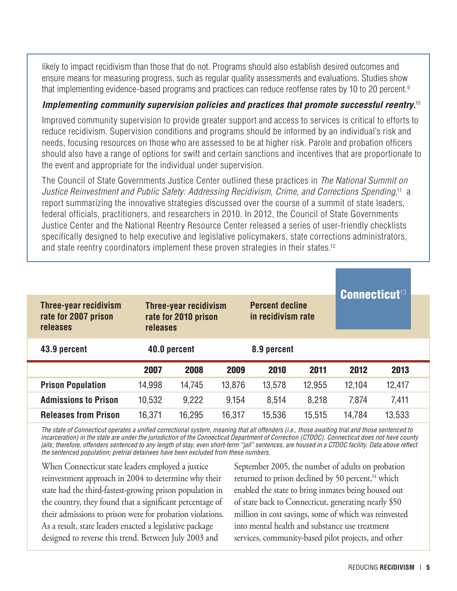likely to impact recidivism than those that do not. Programs should also establish desired outcomes and ensure means for measuring progress, such as regular quality assessments and evaluations. Studies show that implementing evidence-based programs and practices can reduce reoffense rates by 10 to 20 percent.<sup>9</sup>

#### *Implementing community supervision policies and practices that promote successful reentry.*<sup>10</sup>

Improved community supervision to provide greater support and access to services is critical to efforts to reduce recidivism. Supervision conditions and programs should be informed by an individual's risk and needs, focusing resources on those who are assessed to be at higher risk. Parole and probation officers should also have a range of options for swift and certain sanctions and incentives that are proportionate to the event and appropriate for the individual under supervision.

The Council of State Governments Justice Center outlined these practices in *The National Summit on Justice Reinvestment and Public Safety: Addressing Recidivism, Crime, and Corrections Spending,*11 a report summarizing the innovative strategies discussed over the course of a summit of state leaders, federal officials, practitioners, and researchers in 2010. In 2012, the Council of State Governments Justice Center and the National Reentry Resource Center released a series of user-friendly checklists specifically designed to help executive and legislative policymakers, state corrections administrators, and state reentry coordinators implement these proven strategies in their states.12

| <b>Three-year recidivism</b><br>rate for 2007 prison<br>releases | <b>Connecticut<sup>13</sup></b> |              |        |             |        |        |        |
|------------------------------------------------------------------|---------------------------------|--------------|--------|-------------|--------|--------|--------|
| 43.9 percent                                                     |                                 | 40.0 percent |        | 8.9 percent |        |        |        |
|                                                                  | 2007                            | 2008         | 2009   | 2010        | 2011   | 2012   | 2013   |
| <b>Prison Population</b>                                         | 14,998                          | 14,745       | 13,876 | 13,578      | 12,955 | 12,104 | 12,417 |
| <b>Admissions to Prison</b>                                      | 10,532                          | 9,222        | 9,154  | 8,514       | 8,218  | 7,874  | 7,411  |
| <b>Releases from Prison</b>                                      | 16,371                          | 16,295       | 16,317 | 15,536      | 15,515 | 14.784 | 13,533 |

*The state of Connecticut operates a unified correctional system, meaning that all offenders (i.e., those awaiting trial and those sentenced to incarceration) in the state are under the jurisdiction of the Connecticut Department of Correction (CTDOC). Connecticut does not have county jails; therefore, offenders sentenced to any length of stay, even short-term "jail" sentences, are housed in a CTDOC facility. Data above reflect the sentenced population; pretrial detainees have been excluded from these numbers.*

When Connecticut state leaders employed a justice reinvestment approach in 2004 to determine why their state had the third-fastest-growing prison population in the country, they found that a significant percentage of their admissions to prison were for probation violations. As a result, state leaders enacted a legislative package designed to reverse this trend. Between July 2003 and

September 2005, the number of adults on probation returned to prison declined by 50 percent, $14$  which enabled the state to bring inmates being housed out of state back to Connecticut, generating nearly \$50 million in cost savings, some of which was reinvested into mental health and substance use treatment services, community-based pilot projects, and other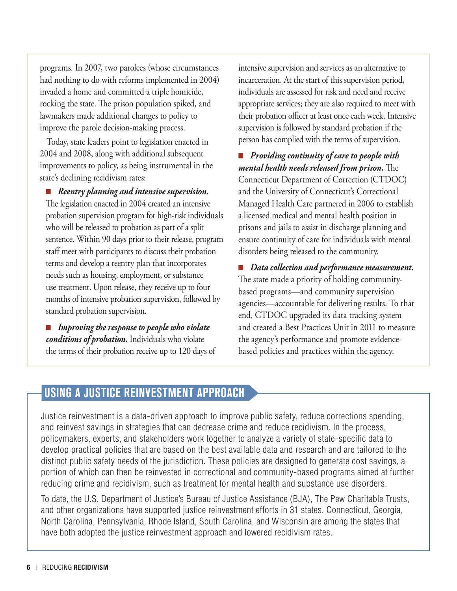programs. In 2007, two parolees (whose circumstances had nothing to do with reforms implemented in 2004) invaded a home and committed a triple homicide, rocking the state. The prison population spiked, and lawmakers made additional changes to policy to improve the parole decision-making process.

Today, state leaders point to legislation enacted in 2004 and 2008, along with additional subsequent improvements to policy, as being instrumental in the state's declining recidivism rates:

■ *Reentry planning and intensive supervision.*  The legislation enacted in 2004 created an intensive probation supervision program for high-risk individuals who will be released to probation as part of a split sentence. Within 90 days prior to their release, program staff meet with participants to discuss their probation terms and develop a reentry plan that incorporates needs such as housing, employment, or substance use treatment. Upon release, they receive up to four months of intensive probation supervision, followed by standard probation supervision.

■ *Improving the response to people who violate conditions of probation.* Individuals who violate the terms of their probation receive up to 120 days of

intensive supervision and services as an alternative to incarceration. At the start of this supervision period, individuals are assessed for risk and need and receive appropriate services; they are also required to meet with their probation officer at least once each week. Intensive supervision is followed by standard probation if the person has complied with the terms of supervision.

■ *Providing continuity of care to people with mental health needs released from prison.* The Connecticut Department of Correction (CTDOC) and the University of Connecticut's Correctional Managed Health Care partnered in 2006 to establish a licensed medical and mental health position in prisons and jails to assist in discharge planning and ensure continuity of care for individuals with mental disorders being released to the community.

■ *Data collection and performance measurement.* The state made a priority of holding communitybased programs—and community supervision agencies—accountable for delivering results. To that end, CTDOC upgraded its data tracking system and created a Best Practices Unit in 2011 to measure the agency's performance and promote evidencebased policies and practices within the agency.

#### Using a Justice Reinvestment Approach

Justice reinvestment is a data-driven approach to improve public safety, reduce corrections spending, and reinvest savings in strategies that can decrease crime and reduce recidivism. In the process, policymakers, experts, and stakeholders work together to analyze a variety of state-specific data to develop practical policies that are based on the best available data and research and are tailored to the distinct public safety needs of the jurisdiction. These policies are designed to generate cost savings, a portion of which can then be reinvested in correctional and community-based programs aimed at further reducing crime and recidivism, such as treatment for mental health and substance use disorders.

To date, the U.S. Department of Justice's Bureau of Justice Assistance (BJA), The Pew Charitable Trusts, and other organizations have supported justice reinvestment efforts in 31 states. Connecticut, Georgia, North Carolina, Pennsylvania, Rhode Island, South Carolina, and Wisconsin are among the states that have both adopted the justice reinvestment approach and lowered recidivism rates.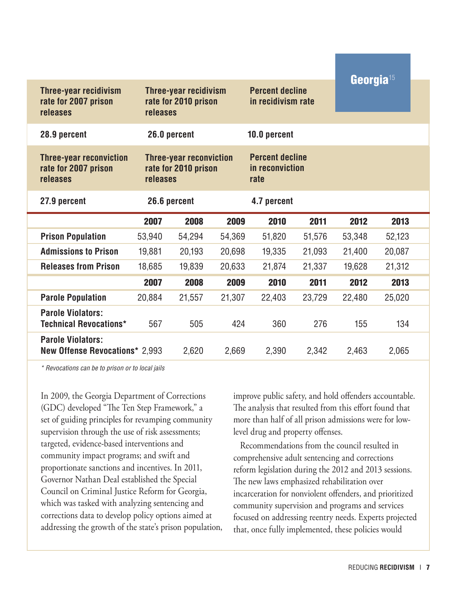| <b>Three-year recidivism</b><br>rate for 2007 prison<br>releases   |              | Three-year recidivism<br>rate for 2010 prison<br>releases          |        |              | <b>Percent decline</b><br>in recidivism rate | Georgia <sup>15</sup> |        |  |
|--------------------------------------------------------------------|--------------|--------------------------------------------------------------------|--------|--------------|----------------------------------------------|-----------------------|--------|--|
| 28.9 percent                                                       |              | 26.0 percent                                                       |        | 10.0 percent |                                              |                       |        |  |
| <b>Three-year reconviction</b><br>rate for 2007 prison<br>releases |              | <b>Three-year reconviction</b><br>rate for 2010 prison<br>releases |        |              | <b>Percent decline</b><br>in reconviction    |                       |        |  |
| 27.9 percent                                                       | 26.6 percent |                                                                    |        | 4.7 percent  |                                              |                       |        |  |
|                                                                    | 2007         | 2008                                                               | 2009   | 2010         | 2011                                         | 2012                  | 2013   |  |
| <b>Prison Population</b>                                           | 53,940       | 54,294                                                             | 54,369 | 51,820       | 51,576                                       | 53,348                | 52,123 |  |
| <b>Admissions to Prison</b>                                        | 19,881       | 20,193                                                             | 20,698 | 19,335       | 21,093                                       | 21,400                | 20,087 |  |
| <b>Releases from Prison</b>                                        | 18,685       | 19,839                                                             | 20,633 | 21,874       | 21,337                                       | 19,628                | 21,312 |  |
|                                                                    | 2007         | 2008                                                               | 2009   | 2010         | 2011                                         | 2012                  | 2013   |  |
| <b>Parole Population</b>                                           | 20,884       | 21,557                                                             | 21,307 | 22,403       | 23,729                                       | 22,480                | 25,020 |  |
| <b>Parole Violators:</b><br><b>Technical Revocations*</b>          | 567          | 505                                                                | 424    | 360          | 276                                          | 155                   | 134    |  |
| <b>Parole Violators:</b><br><b>New Offense Revocations* 2,993</b>  |              | 2,620                                                              | 2,669  | 2,390        | 2,342                                        | 2,463                 | 2,065  |  |

*\* Revocations can be to prison or to local jails*

In 2009, the Georgia Department of Corrections (GDC) developed "The Ten Step Framework," a set of guiding principles for revamping community supervision through the use of risk assessments; targeted, evidence-based interventions and community impact programs; and swift and proportionate sanctions and incentives. In 2011, Governor Nathan Deal established the Special Council on Criminal Justice Reform for Georgia, which was tasked with analyzing sentencing and corrections data to develop policy options aimed at addressing the growth of the state's prison population, improve public safety, and hold offenders accountable. The analysis that resulted from this effort found that more than half of all prison admissions were for lowlevel drug and property offenses.

Recommendations from the council resulted in comprehensive adult sentencing and corrections reform legislation during the 2012 and 2013 sessions. The new laws emphasized rehabilitation over incarceration for nonviolent offenders, and prioritized community supervision and programs and services focused on addressing reentry needs. Experts projected that, once fully implemented, these policies would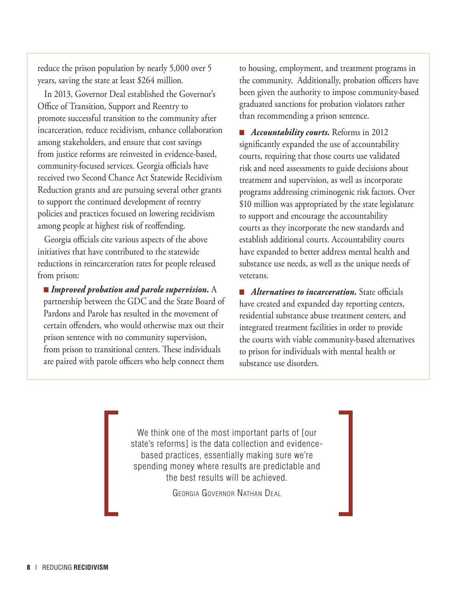reduce the prison population by nearly 5,000 over 5 years, saving the state at least \$264 million.

In 2013, Governor Deal established the Governor's Office of Transition, Support and Reentry to promote successful transition to the community after incarceration, reduce recidivism, enhance collaboration among stakeholders, and ensure that cost savings from justice reforms are reinvested in evidence-based, community-focused services. Georgia officials have received two Second Chance Act Statewide Recidivism Reduction grants and are pursuing several other grants to support the continued development of reentry policies and practices focused on lowering recidivism among people at highest risk of reoffending.

Georgia officials cite various aspects of the above initiatives that have contributed to the statewide reductions in reincarceration rates for people released from prison:

■ *Improved probation and parole supervision*. A partnership between the GDC and the State Board of Pardons and Parole has resulted in the movement of certain offenders, who would otherwise max out their prison sentence with no community supervision, from prison to transitional centers. These individuals are paired with parole officers who help connect them

to housing, employment, and treatment programs in the community. Additionally, probation officers have been given the authority to impose community-based graduated sanctions for probation violators rather than recommending a prison sentence.

■ *Accountability courts.* Reforms in 2012 significantly expanded the use of accountability courts, requiring that those courts use validated risk and need assessments to guide decisions about treatment and supervision, as well as incorporate programs addressing criminogenic risk factors. Over \$10 million was appropriated by the state legislature to support and encourage the accountability courts as they incorporate the new standards and establish additional courts. Accountability courts have expanded to better address mental health and substance use needs, as well as the unique needs of veterans.

■ *Alternatives to incarceration*. State officials have created and expanded day reporting centers, residential substance abuse treatment centers, and integrated treatment facilities in order to provide the courts with viable community-based alternatives to prison for individuals with mental health or substance use disorders.

We think one of the most important parts of [our state's reforms] is the data collection and evidencebased practices, essentially making sure we're spending money where results are predictable and the best results will be achieved.

Georgia Governor Nathan Deal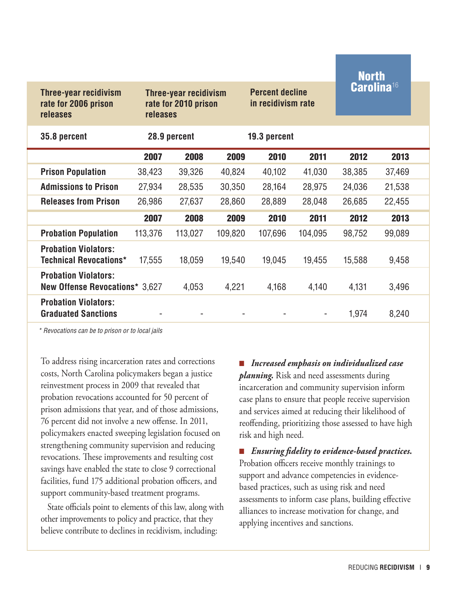|                                                                      |         |                                                                         |         |              |                                              | <b>North</b>           |        |  |
|----------------------------------------------------------------------|---------|-------------------------------------------------------------------------|---------|--------------|----------------------------------------------|------------------------|--------|--|
| Three-year recidivism<br>rate for 2006 prison<br>releases            |         | <b>Three-year recidivism</b><br>rate for 2010 prison<br><b>releases</b> |         |              | <b>Percent decline</b><br>in recidivism rate | Carolina <sup>16</sup> |        |  |
| 35.8 percent                                                         |         | 28.9 percent                                                            |         | 19.3 percent |                                              |                        |        |  |
|                                                                      | 2007    | 2008                                                                    | 2009    | 2010         | 2011                                         | 2012                   | 2013   |  |
| <b>Prison Population</b>                                             | 38,423  | 39,326                                                                  | 40,824  | 40,102       | 41,030                                       | 38,385                 | 37,469 |  |
| <b>Admissions to Prison</b>                                          | 27,934  | 28,535                                                                  | 30,350  | 28,164       | 28,975                                       | 24,036                 | 21,538 |  |
| <b>Releases from Prison</b>                                          | 26,986  | 27,637                                                                  | 28,860  | 28,889       | 28,048                                       | 26,685                 | 22,455 |  |
|                                                                      | 2007    | 2008                                                                    | 2009    | 2010         | 2011                                         | 2012                   | 2013   |  |
| <b>Probation Population</b>                                          | 113,376 | 113,027                                                                 | 109,820 | 107,696      | 104,095                                      | 98,752                 | 99,089 |  |
| <b>Probation Violators:</b><br><b>Technical Revocations*</b>         | 17,555  | 18,059                                                                  | 19,540  | 19,045       | 19,455                                       | 15,588                 | 9,458  |  |
| <b>Probation Violators:</b><br><b>New Offense Revocations* 3,627</b> |         | 4,053                                                                   | 4,221   | 4,168        | 4,140                                        | 4,131                  | 3,496  |  |
| <b>Probation Violators:</b><br><b>Graduated Sanctions</b>            |         |                                                                         |         |              |                                              | 1,974                  | 8,240  |  |

*\* Revocations can be to prison or to local jails*

To address rising incarceration rates and corrections costs, North Carolina policymakers began a justice reinvestment process in 2009 that revealed that probation revocations accounted for 50 percent of prison admissions that year, and of those admissions, 76 percent did not involve a new offense. In 2011, policymakers enacted sweeping legislation focused on strengthening community supervision and reducing revocations. These improvements and resulting cost savings have enabled the state to close 9 correctional facilities, fund 175 additional probation officers, and support community-based treatment programs.

State officials point to elements of this law, along with other improvements to policy and practice, that they believe contribute to declines in recidivism, including:

■ *Increased emphasis on individualized case planning.* Risk and need assessments during incarceration and community supervision inform case plans to ensure that people receive supervision and services aimed at reducing their likelihood of reoffending, prioritizing those assessed to have high risk and high need.

■ *Ensuring fidelity to evidence-based practices.*  Probation officers receive monthly trainings to support and advance competencies in evidencebased practices, such as using risk and need assessments to inform case plans, building effective alliances to increase motivation for change, and applying incentives and sanctions.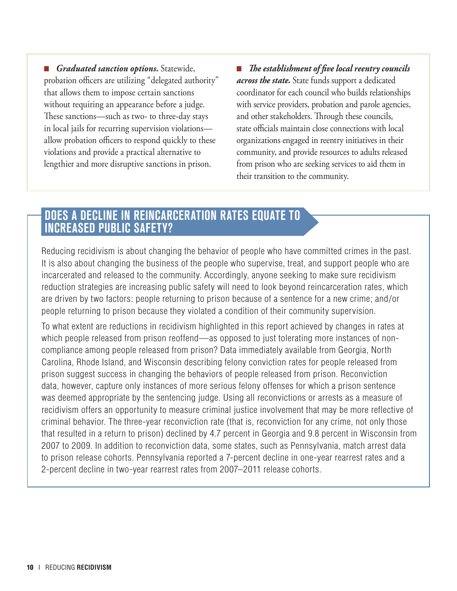■ *Graduated sanction options*. Statewide, probation officers are utilizing "delegated authority" that allows them to impose certain sanctions without requiring an appearance before a judge. These sanctions—such as two- to three-day stays in local jails for recurring supervision violations allow probation officers to respond quickly to these violations and provide a practical alternative to lengthier and more disruptive sanctions in prison.

■ *The establishment of five local reentry councils across the state.* State funds support a dedicated coordinator for each council who builds relationships with service providers, probation and parole agencies, and other stakeholders. Through these councils, state officials maintain close connections with local organizations engaged in reentry initiatives in their community, and provide resources to adults released from prison who are seeking services to aid them in their transition to the community.

#### does a decline in reincarceration Rates Equate to Increased Public Safety?

Reducing recidivism is about changing the behavior of people who have committed crimes in the past. It is also about changing the business of the people who supervise, treat, and support people who are incarcerated and released to the community. Accordingly, anyone seeking to make sure recidivism reduction strategies are increasing public safety will need to look beyond reincarceration rates, which are driven by two factors: people returning to prison because of a sentence for a new crime; and/or people returning to prison because they violated a condition of their community supervision.

To what extent are reductions in recidivism highlighted in this report achieved by changes in rates at which people released from prison reoffend—as opposed to just tolerating more instances of noncompliance among people released from prison? Data immediately available from Georgia, North Carolina, Rhode Island, and Wisconsin describing felony conviction rates for people released from prison suggest success in changing the behaviors of people released from prison. Reconviction data, however, capture only instances of more serious felony offenses for which a prison sentence was deemed appropriate by the sentencing judge. Using all reconvictions or arrests as a measure of recidivism offers an opportunity to measure criminal justice involvement that may be more reflective of criminal behavior. The three-year reconviction rate (that is, reconviction for any crime, not only those that resulted in a return to prison) declined by 4.7 percent in Georgia and 9.8 percent in Wisconsin from 2007 to 2009. In addition to reconviction data, some states, such as Pennsylvania, match arrest data to prison release cohorts. Pennsylvania reported a 7-percent decline in one-year rearrest rates and a 2-percent decline in two-year rearrest rates from 2007–2011 release cohorts.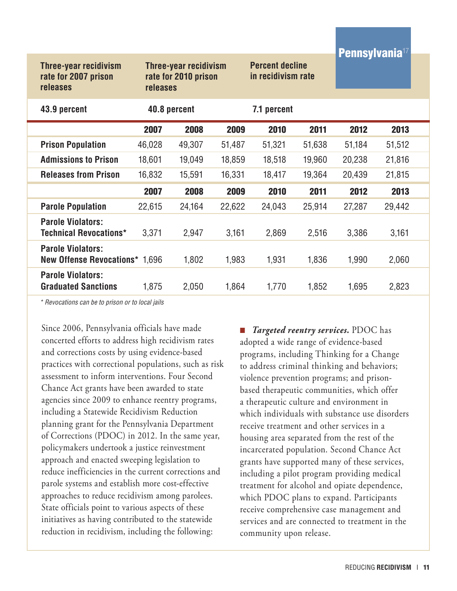|                                                                         |                                                                         |              |        |                                              |        | <b>Pennsylvania</b> <sup>17</sup> |        |  |
|-------------------------------------------------------------------------|-------------------------------------------------------------------------|--------------|--------|----------------------------------------------|--------|-----------------------------------|--------|--|
| <b>Three-year recidivism</b><br>rate for 2007 prison<br><b>releases</b> | <b>Three-year recidivism</b><br>rate for 2010 prison<br><b>releases</b> |              |        | <b>Percent decline</b><br>in recidivism rate |        |                                   |        |  |
| 43.9 percent                                                            |                                                                         | 40.8 percent |        | 7.1 percent                                  |        |                                   |        |  |
|                                                                         | 2007                                                                    | 2008         | 2009   | 2010                                         | 2011   | 2012                              | 2013   |  |
| <b>Prison Population</b>                                                | 46,028                                                                  | 49,307       | 51,487 | 51,321                                       | 51,638 | 51,184                            | 51,512 |  |
| <b>Admissions to Prison</b>                                             | 18,601                                                                  | 19,049       | 18,859 | 18,518                                       | 19,960 | 20,238                            | 21,816 |  |
| <b>Releases from Prison</b>                                             | 16,832                                                                  | 15,591       | 16,331 | 18,417                                       | 19,364 | 20,439                            | 21,815 |  |
|                                                                         | 2007                                                                    | 2008         | 2009   | 2010                                         | 2011   | 2012                              | 2013   |  |
| <b>Parole Population</b>                                                | 22,615                                                                  | 24,164       | 22,622 | 24,043                                       | 25,914 | 27,287                            | 29,442 |  |
| <b>Parole Violators:</b><br><b>Technical Revocations*</b>               | 3,371                                                                   | 2,947        | 3,161  | 2,869                                        | 2,516  | 3,386                             | 3,161  |  |
| <b>Parole Violators:</b><br><b>New Offense Revocations* 1,696</b>       |                                                                         | 1,802        | 1,983  | 1,931                                        | 1,836  | 1,990                             | 2,060  |  |
| <b>Parole Violators:</b><br><b>Graduated Sanctions</b>                  | 1,875                                                                   | 2,050        | 1,864  | 1,770                                        | 1,852  | 1,695                             | 2,823  |  |

*\* Revocations can be to prison or to local jails*

Since 2006, Pennsylvania officials have made concerted efforts to address high recidivism rates and corrections costs by using evidence-based practices with correctional populations, such as risk assessment to inform interventions. Four Second Chance Act grants have been awarded to state agencies since 2009 to enhance reentry programs, including a Statewide Recidivism Reduction planning grant for the Pennsylvania Department of Corrections (PDOC) in 2012. In the same year, policymakers undertook a justice reinvestment approach and enacted sweeping legislation to reduce inefficiencies in the current corrections and parole systems and establish more cost-effective approaches to reduce recidivism among parolees. State officials point to various aspects of these initiatives as having contributed to the statewide reduction in recidivism, including the following:

■ *Targeted reentry services.* PDOC has adopted a wide range of evidence-based programs, including Thinking for a Change to address criminal thinking and behaviors; violence prevention programs; and prisonbased therapeutic communities, which offer a therapeutic culture and environment in which individuals with substance use disorders receive treatment and other services in a housing area separated from the rest of the incarcerated population. Second Chance Act grants have supported many of these services, including a pilot program providing medical treatment for alcohol and opiate dependence, which PDOC plans to expand. Participants receive comprehensive case management and services and are connected to treatment in the community upon release.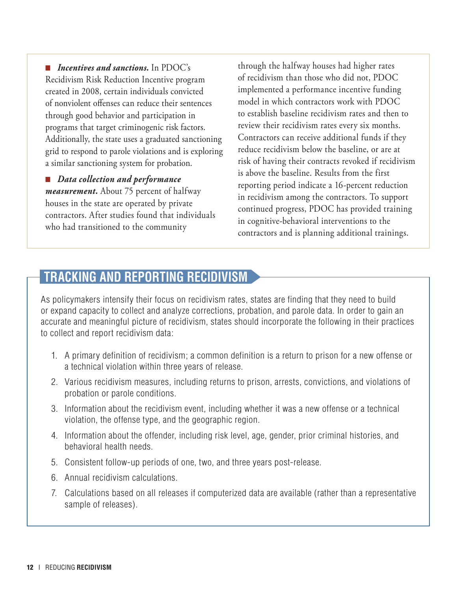■ *Incentives and sanctions*. In PDOC's Recidivism Risk Reduction Incentive program created in 2008, certain individuals convicted of nonviolent offenses can reduce their sentences through good behavior and participation in programs that target criminogenic risk factors. Additionally, the state uses a graduated sanctioning grid to respond to parole violations and is exploring a similar sanctioning system for probation.

■ *Data collection and performance measurement.* About 75 percent of halfway houses in the state are operated by private contractors. After studies found that individuals who had transitioned to the community

through the halfway houses had higher rates of recidivism than those who did not, PDOC implemented a performance incentive funding model in which contractors work with PDOC to establish baseline recidivism rates and then to review their recidivism rates every six months. Contractors can receive additional funds if they reduce recidivism below the baseline, or are at risk of having their contracts revoked if recidivism is above the baseline. Results from the first reporting period indicate a 16-percent reduction in recidivism among the contractors. To support continued progress, PDOC has provided training in cognitive-behavioral interventions to the contractors and is planning additional trainings.

## **Tracking and Reporting Recidivism**

As policymakers intensify their focus on recidivism rates, states are finding that they need to build or expand capacity to collect and analyze corrections, probation, and parole data. In order to gain an accurate and meaningful picture of recidivism, states should incorporate the following in their practices to collect and report recidivism data:

- 1. A primary definition of recidivism; a common definition is a return to prison for a new offense or a technical violation within three years of release.
- 2. Various recidivism measures, including returns to prison, arrests, convictions, and violations of probation or parole conditions.
- 3. Information about the recidivism event, including whether it was a new offense or a technical violation, the offense type, and the geographic region.
- 4. Information about the offender, including risk level, age, gender, prior criminal histories, and behavioral health needs.
- 5. Consistent follow-up periods of one, two, and three years post-release.
- 6. Annual recidivism calculations.
- 7. Calculations based on all releases if computerized data are available (rather than a representative sample of releases).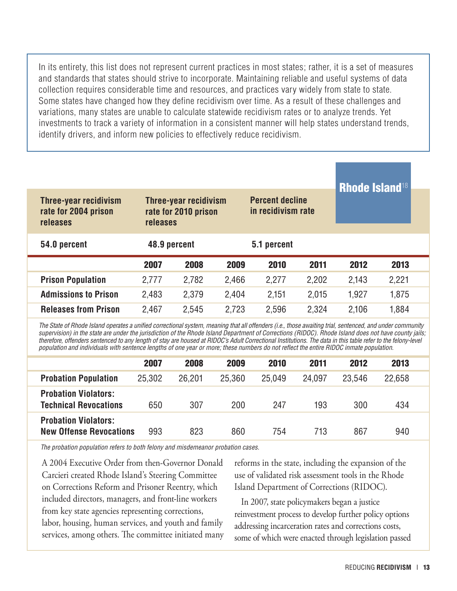In its entirety, this list does not represent current practices in most states; rather, it is a set of measures and standards that states should strive to incorporate. Maintaining reliable and useful systems of data collection requires considerable time and resources, and practices vary widely from state to state. Some states have changed how they define recidivism over time. As a result of these challenges and variations, many states are unable to calculate statewide recidivism rates or to analyze trends. Yet investments to track a variety of information in a consistent manner will help states understand trends, identify drivers, and inform new policies to effectively reduce recidivism.

| Three-year recidivism<br>rate for 2004 prison<br>releases | releases     | <b>Three-year recidivism</b><br>rate for 2010 prison | <b>Rhode Island<sup>18</sup></b> |             |       |       |       |
|-----------------------------------------------------------|--------------|------------------------------------------------------|----------------------------------|-------------|-------|-------|-------|
| 54.0 percent                                              | 48.9 percent |                                                      |                                  | 5.1 percent |       |       |       |
|                                                           | 2007         | 2008                                                 | 2009                             | 2010        | 2011  | 2012  | 2013  |
| <b>Prison Population</b>                                  | 2,777        | 2,782                                                | 2,466                            | 2,277       | 2,202 | 2.143 | 2,221 |
| <b>Admissions to Prison</b>                               | 2,483        | 2,379                                                | 2,404                            | 2,151       | 2,015 | 1,927 | 1,875 |
| <b>Releases from Prison</b>                               | 2,467        | 2,545                                                | 2,723                            | 2,596       | 2,324 | 2,106 | 1,884 |

*The State of Rhode Island operates a unified correctional system, meaning that all offenders (i.e., those awaiting trial, sentenced, and under community supervision) in the state are under the jurisdiction of the Rhode Island Department of Corrections (RIDOC). Rhode Island does not have county jails; therefore, offenders sentenced to any length of stay are housed at RIDOC's Adult Correctional Institutions. The data in this table refer to the felony-level population and individuals with sentence lengths of one year or more; these numbers do not reflect the entire RIDOC inmate population.*

|                                                               | 2007   | 2008   | 2009   | 2010   | 2011   | 2012   | 2013   |  |
|---------------------------------------------------------------|--------|--------|--------|--------|--------|--------|--------|--|
| <b>Probation Population</b>                                   | 25,302 | 26.201 | 25.360 | 25.049 | 24.097 | 23.546 | 22.658 |  |
| <b>Probation Violators:</b><br><b>Technical Revocations</b>   | 650    | 307    | 200    | 247    | 193    | 300    | 434    |  |
| <b>Probation Violators:</b><br><b>New Offense Revocations</b> | 993    | 823    | 860    | 754    | 713    | 867    | 940    |  |

*The probation population refers to both felony and misdemeanor probation cases.*

A 2004 Executive Order from then-Governor Donald Carcieri created Rhode Island's Steering Committee on Corrections Reform and Prisoner Reentry, which included directors, managers, and front-line workers from key state agencies representing corrections, labor, housing, human services, and youth and family services, among others. The committee initiated many reforms in the state, including the expansion of the use of validated risk assessment tools in the Rhode Island Department of Corrections (RIDOC).

In 2007, state policymakers began a justice reinvestment process to develop further policy options addressing incarceration rates and corrections costs, some of which were enacted through legislation passed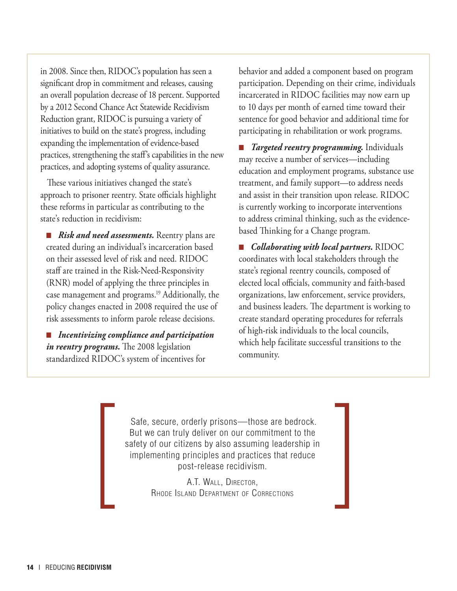in 2008. Since then, RIDOC's population has seen a significant drop in commitment and releases, causing an overall population decrease of 18 percent. Supported by a 2012 Second Chance Act Statewide Recidivism Reduction grant, RIDOC is pursuing a variety of initiatives to build on the state's progress, including expanding the implementation of evidence-based practices, strengthening the staff's capabilities in the new practices, and adopting systems of quality assurance.

These various initiatives changed the state's approach to prisoner reentry. State officials highlight these reforms in particular as contributing to the state's reduction in recidivism:

■ *Risk and need assessments*. Reentry plans are created during an individual's incarceration based on their assessed level of risk and need. RIDOC staff are trained in the Risk-Need-Responsivity (RNR) model of applying the three principles in case management and programs.19 Additionally, the policy changes enacted in 2008 required the use of risk assessments to inform parole release decisions.

■ *Incentivizing compliance and participation in reentry programs.* The 2008 legislation standardized RIDOC's system of incentives for

behavior and added a component based on program participation. Depending on their crime, individuals incarcerated in RIDOC facilities may now earn up to 10 days per month of earned time toward their sentence for good behavior and additional time for participating in rehabilitation or work programs.

■ *Targeted reentry programming.* Individuals may receive a number of services—including education and employment programs, substance use treatment, and family support—to address needs and assist in their transition upon release. RIDOC is currently working to incorporate interventions to address criminal thinking, such as the evidencebased Thinking for a Change program.

■ *Collaborating with local partners.* RIDOC coordinates with local stakeholders through the state's regional reentry councils, composed of elected local officials, community and faith-based organizations, law enforcement, service providers, and business leaders. The department is working to create standard operating procedures for referrals of high-risk individuals to the local councils, which help facilitate successful transitions to the community.

 Safe, secure, orderly prisons—those are bedrock. But we can truly deliver on our commitment to the safety of our citizens by also assuming leadership in implementing principles and practices that reduce post-release recidivism.

> A.T. Wall, Director, Rhode Island Department of Corrections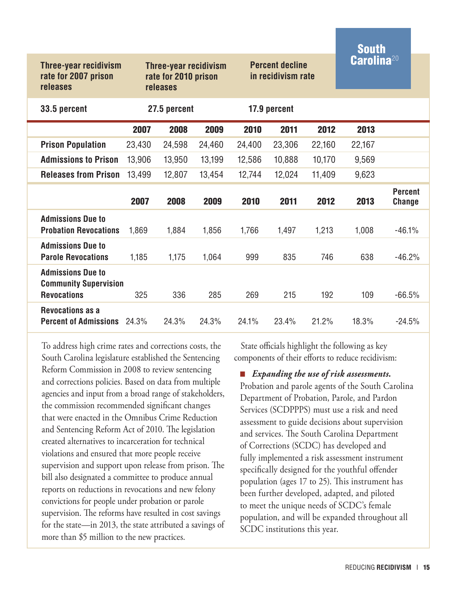|                                                                                |                                                                  |              |        |        |                                              |        | <b>South</b>                |                                 |  |
|--------------------------------------------------------------------------------|------------------------------------------------------------------|--------------|--------|--------|----------------------------------------------|--------|-----------------------------|---------------------------------|--|
| Three-year recidivism<br>rate for 2007 prison<br><b>releases</b>               | <b>Three-year recidivism</b><br>rate for 2010 prison<br>releases |              |        |        | <b>Percent decline</b><br>in recidivism rate |        | $\mathbf C$ arolina $^{20}$ |                                 |  |
| 33.5 percent                                                                   |                                                                  | 27.5 percent |        |        | 17.9 percent                                 |        |                             |                                 |  |
|                                                                                | 2007                                                             | 2008         | 2009   | 2010   | 2011                                         | 2012   | 2013                        |                                 |  |
| <b>Prison Population</b>                                                       | 23,430                                                           | 24,598       | 24,460 | 24,400 | 23,306                                       | 22,160 | 22,167                      |                                 |  |
| <b>Admissions to Prison</b>                                                    | 13,906                                                           | 13,950       | 13,199 | 12,586 | 10,888                                       | 10,170 | 9,569                       |                                 |  |
| <b>Releases from Prison</b>                                                    | 13,499                                                           | 12,807       | 13,454 | 12,744 | 12,024                                       | 11,409 | 9,623                       |                                 |  |
|                                                                                | 2007                                                             | 2008         | 2009   | 2010   | 2011                                         | 2012   | 2013                        | <b>Percent</b><br><b>Change</b> |  |
| <b>Admissions Due to</b><br><b>Probation Revocations</b>                       | 1,869                                                            | 1,884        | 1,856  | 1,766  | 1,497                                        | 1,213  | 1,008                       | $-46.1%$                        |  |
| <b>Admissions Due to</b><br><b>Parole Revocations</b>                          | 1,185                                                            | 1,175        | 1,064  | 999    | 835                                          | 746    | 638                         | $-46.2%$                        |  |
| <b>Admissions Due to</b><br><b>Community Supervision</b><br><b>Revocations</b> | 325                                                              | 336          | 285    | 269    | 215                                          | 192    | 109                         | $-66.5%$                        |  |
| <b>Revocations as a</b><br><b>Percent of Admissions</b>                        | 24.3%                                                            | 24.3%        | 24.3%  | 24.1%  | 23.4%                                        | 21.2%  | 18.3%                       | $-24.5%$                        |  |

To address high crime rates and corrections costs, the South Carolina legislature established the Sentencing Reform Commission in 2008 to review sentencing and corrections policies. Based on data from multiple agencies and input from a broad range of stakeholders, the commission recommended significant changes that were enacted in the Omnibus Crime Reduction and Sentencing Reform Act of 2010. The legislation created alternatives to incarceration for technical violations and ensured that more people receive supervision and support upon release from prison. The bill also designated a committee to produce annual reports on reductions in revocations and new felony convictions for people under probation or parole supervision. The reforms have resulted in cost savings for the state—in 2013, the state attributed a savings of more than \$5 million to the new practices.

State officials highlight the following as key components of their efforts to reduce recidivism:

■ *Expanding the use of risk assessments.*  Probation and parole agents of the South Carolina Department of Probation, Parole, and Pardon Services (SCDPPPS) must use a risk and need assessment to guide decisions about supervision and services. The South Carolina Department of Corrections (SCDC) has developed and fully implemented a risk assessment instrument specifically designed for the youthful offender population (ages 17 to 25). This instrument has been further developed, adapted, and piloted to meet the unique needs of SCDC's female population, and will be expanded throughout all SCDC institutions this year.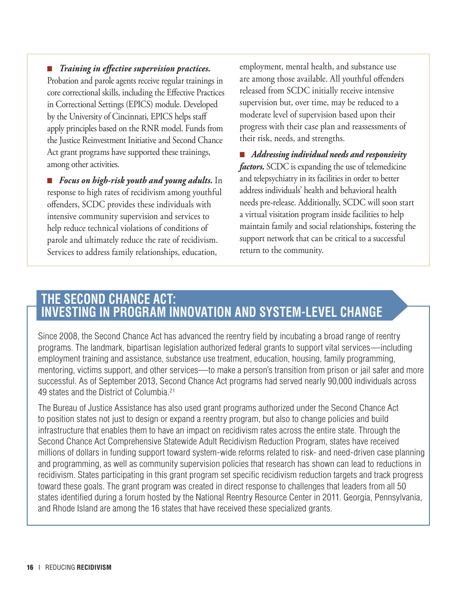■ *Training in effective supervision practices.* Probation and parole agents receive regular trainings in core correctional skills, including the Effective Practices in Correctional Settings (EPICS) module. Developed by the University of Cincinnati, EPICS helps staff apply principles based on the RNR model. Funds from the Justice Reinvestment Initiative and Second Chance Act grant programs have supported these trainings, among other activities.

■ *Focus on high-risk youth and young adults.* In response to high rates of recidivism among youthful offenders, SCDC provides these individuals with intensive community supervision and services to help reduce technical violations of conditions of parole and ultimately reduce the rate of recidivism. Services to address family relationships, education,

employment, mental health, and substance use are among those available. All youthful offenders released from SCDC initially receive intensive supervision but, over time, may be reduced to a moderate level of supervision based upon their progress with their case plan and reassessments of their risk, needs, and strengths.

■ *Addressing individual needs and responsivity factors.* SCDC is expanding the use of telemedicine and telepsychiatry in its facilities in order to better address individuals' health and behavioral health needs pre-release. Additionally, SCDC will soon start a virtual visitation program inside facilities to help maintain family and social relationships, fostering the support network that can be critical to a successful return to the community.

#### **The Second Chance Act: Investing in Program Innovation and System-Level Change**

Since 2008, the Second Chance Act has advanced the reentry field by incubating a broad range of reentry programs. The landmark, bipartisan legislation authorized federal grants to support vital services—including employment training and assistance, substance use treatment, education, housing, family programming, mentoring, victims support, and other services—to make a person's transition from prison or jail safer and more successful. As of September 2013, Second Chance Act programs had served nearly 90,000 individuals across 49 states and the District of Columbia.21

The Bureau of Justice Assistance has also used grant programs authorized under the Second Chance Act to position states not just to design or expand a reentry program, but also to change policies and build infrastructure that enables them to have an impact on recidivism rates across the entire state. Through the Second Chance Act Comprehensive Statewide Adult Recidivism Reduction Program, states have received millions of dollars in funding support toward system-wide reforms related to risk- and need-driven case planning and programming, as well as community supervision policies that research has shown can lead to reductions in recidivism. States participating in this grant program set specific recidivism reduction targets and track progress toward these goals. The grant program was created in direct response to challenges that leaders from all 50 states identified during a forum hosted by the National Reentry Resource Center in 2011. Georgia, Pennsylvania, and Rhode Island are among the 16 states that have received these specialized grants.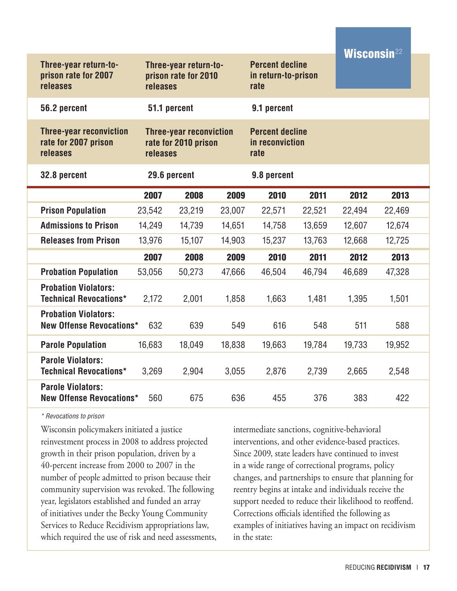| Three-year return-to-<br>prison rate for 2007<br>releases          | releases | Three-year return-to-<br>prison rate for 2010          |        | <b>Percent decline</b><br>in return-to-prison<br>rate |        | <b>Wisconsin22</b> |        |  |
|--------------------------------------------------------------------|----------|--------------------------------------------------------|--------|-------------------------------------------------------|--------|--------------------|--------|--|
| 56.2 percent                                                       |          | 51.1 percent                                           |        | 9.1 percent                                           |        |                    |        |  |
| <b>Three-year reconviction</b><br>rate for 2007 prison<br>releases | releases | <b>Three-year reconviction</b><br>rate for 2010 prison |        | <b>Percent decline</b><br>in reconviction<br>rate     |        |                    |        |  |
| 32.8 percent                                                       |          | 29.6 percent                                           |        | 9.8 percent                                           |        |                    |        |  |
|                                                                    | 2007     | 2008                                                   | 2009   | 2010                                                  | 2011   | 2012               | 2013   |  |
| <b>Prison Population</b>                                           | 23,542   | 23,219                                                 | 23,007 | 22,571                                                | 22,521 | 22,494             | 22,469 |  |
| <b>Admissions to Prison</b>                                        | 14,249   | 14,739                                                 | 14,651 | 14,758                                                | 13,659 | 12,607             | 12,674 |  |
| <b>Releases from Prison</b>                                        | 13,976   | 15,107                                                 | 14,903 | 15,237                                                | 13,763 | 12,668             | 12,725 |  |
|                                                                    | 2007     | 2008                                                   | 2009   | 2010                                                  | 2011   | 2012               | 2013   |  |
| <b>Probation Population</b>                                        | 53,056   | 50,273                                                 | 47,666 | 46,504                                                | 46,794 | 46,689             | 47,328 |  |
| <b>Probation Violators:</b><br><b>Technical Revocations*</b>       | 2,172    | 2,001                                                  | 1,858  | 1,663                                                 | 1,481  | 1,395              | 1,501  |  |
| <b>Probation Violators:</b><br><b>New Offense Revocations*</b>     | 632      | 639                                                    | 549    | 616                                                   | 548    | 511                | 588    |  |
| <b>Parole Population</b>                                           | 16,683   | 18,049                                                 | 18,838 | 19,663                                                | 19,784 | 19,733             | 19,952 |  |
| <b>Parole Violators:</b><br><b>Technical Revocations*</b>          | 3,269    | 2,904                                                  | 3,055  | 2,876                                                 | 2,739  | 2,665              | 2,548  |  |
| <b>Parole Violators:</b><br><b>New Offense Revocations*</b>        | 560      | 675                                                    | 636    | 455                                                   | 376    | 383                | 422    |  |

*\* Revocations to prison*

Wisconsin policymakers initiated a justice reinvestment process in 2008 to address projected growth in their prison population, driven by a 40-percent increase from 2000 to 2007 in the number of people admitted to prison because their community supervision was revoked. The following year, legislators established and funded an array of initiatives under the Becky Young Community Services to Reduce Recidivism appropriations law, which required the use of risk and need assessments,

intermediate sanctions, cognitive-behavioral interventions, and other evidence-based practices. Since 2009, state leaders have continued to invest in a wide range of correctional programs, policy changes, and partnerships to ensure that planning for reentry begins at intake and individuals receive the support needed to reduce their likelihood to reoffend. Corrections officials identified the following as examples of initiatives having an impact on recidivism in the state: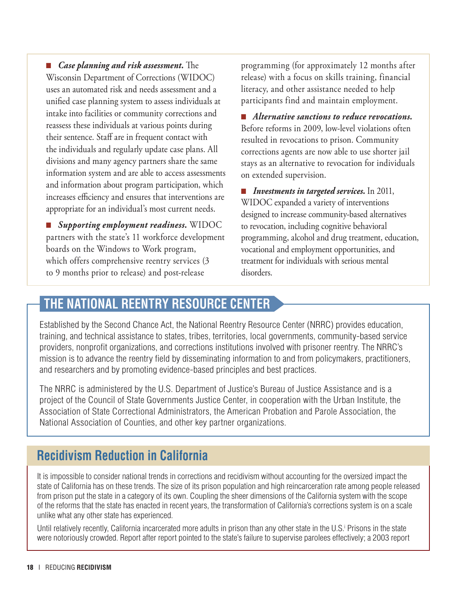■ *Case planning and risk assessment*. The Wisconsin Department of Corrections (WIDOC) uses an automated risk and needs assessment and a unified case planning system to assess individuals at intake into facilities or community corrections and reassess these individuals at various points during their sentence. Staff are in frequent contact with the individuals and regularly update case plans. All divisions and many agency partners share the same information system and are able to access assessments and information about program participation, which increases efficiency and ensures that interventions are appropriate for an individual's most current needs.

■ *Supporting employment readiness.* WIDOC partners with the state's 11 workforce development boards on the Windows to Work program, which offers comprehensive reentry services (3 to 9 months prior to release) and post-release

programming (for approximately 12 months after release) with a focus on skills training, financial literacy, and other assistance needed to help participants find and maintain employment.

■ *Alternative sanctions to reduce revocations.*  Before reforms in 2009, low-level violations often resulted in revocations to prison. Community corrections agents are now able to use shorter jail stays as an alternative to revocation for individuals on extended supervision.

■ *Investments in targeted services*. In 2011, WIDOC expanded a variety of interventions designed to increase community-based alternatives to revocation, including cognitive behavioral programming, alcohol and drug treatment, education, vocational and employment opportunities, and treatment for individuals with serious mental disorders.

## **The National Reentry Resource Center**

Established by the Second Chance Act, the National Reentry Resource Center (NRRC) provides education, training, and technical assistance to states, tribes, territories, local governments, community-based service providers, nonprofit organizations, and corrections institutions involved with prisoner reentry. The NRRC's mission is to advance the reentry field by disseminating information to and from policymakers, practitioners, and researchers and by promoting evidence-based principles and best practices.

The NRRC is administered by the U.S. Department of Justice's Bureau of Justice Assistance and is a project of the Council of State Governments Justice Center, in cooperation with the Urban Institute, the Association of State Correctional Administrators, the American Probation and Parole Association, the National Association of Counties, and other key partner organizations.

## **Recidivism Reduction in California**

It is impossible to consider national trends in corrections and recidivism without accounting for the oversized impact the state of California has on these trends. The size of its prison population and high reincarceration rate among people released from prison put the state in a category of its own. Coupling the sheer dimensions of the California system with the scope of the reforms that the state has enacted in recent years, the transformation of California's corrections system is on a scale unlike what any other state has experienced.

Until relatively recently, California incarcerated more adults in prison than any other state in the U.S. Prisons in the state were notoriously crowded. Report after report pointed to the state's failure to supervise parolees effectively; a 2003 report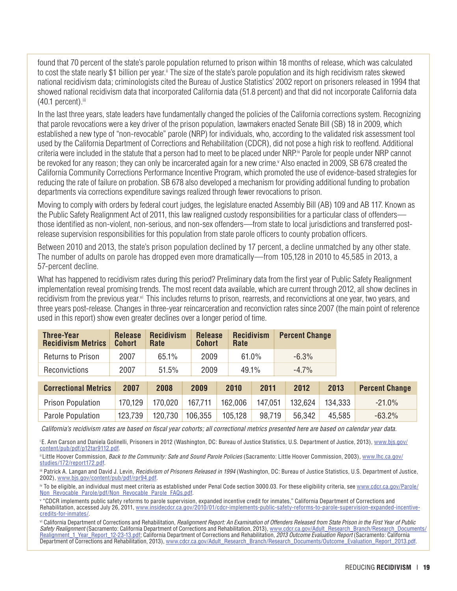found that 70 percent of the state's parole population returned to prison within 18 months of release, which was calculated to cost the state nearly \$1 billion per year.ii The size of the state's parole population and its high recidivism rates skewed national recidivism data; criminologists cited the Bureau of Justice Statistics' 2002 report on prisoners released in 1994 that showed national recidivism data that incorporated California data (51.8 percent) and that did not incorporate California data  $(40.1$  percent).<sup>iii</sup>

In the last three years, state leaders have fundamentally changed the policies of the California corrections system. Recognizing that parole revocations were a key driver of the prison population, lawmakers enacted Senate Bill (SB) 18 in 2009, which established a new type of "non-revocable" parole (NRP) for individuals, who, according to the validated risk assessment tool used by the California Department of Corrections and Rehabilitation (CDCR), did not pose a high risk to reoffend. Additional criteria were included in the statute that a person had to meet to be placed under NRP.iv Parole for people under NRP cannot be revoked for any reason; they can only be incarcerated again for a new crime.<sup>v</sup> Also enacted in 2009, SB 678 created the California Community Corrections Performance Incentive Program, which promoted the use of evidence-based strategies for reducing the rate of failure on probation. SB 678 also developed a mechanism for providing additional funding to probation departments via corrections expenditure savings realized through fewer revocations to prison.

Moving to comply with orders by federal court judges, the legislature enacted Assembly Bill (AB) 109 and AB 117. Known as the Public Safety Realignment Act of 2011, this law realigned custody responsibilities for a particular class of offenders those identified as non-violent, non-serious, and non-sex offenders—from state to local jurisdictions and transferred postrelease supervision responsibilities for this population from state parole officers to county probation officers.

Between 2010 and 2013, the state's prison population declined by 17 percent, a decline unmatched by any other state. The number of adults on parole has dropped even more dramatically—from 105,128 in 2010 to 45,585 in 2013, a 57-percent decline.

What has happened to recidivism rates during this period? Preliminary data from the first year of Public Safety Realignment implementation reveal promising trends. The most recent data available, which are current through 2012, all show declines in recidivism from the previous year.<sup>vi</sup> This includes returns to prison, rearrests, and reconvictions at one year, two years, and three years post-release. Changes in three-year reincarceration and reconviction rates since 2007 (the main point of reference used in this report) show even greater declines over a longer period of time.

| <b>Three-Year</b><br><b>Recidivism Metrics</b> | <b>Release</b><br><b>Cohort</b> | <b>Recidivism</b><br>Rate | <b>Release</b><br><b>Cohort</b> | Rate    | <b>Recidivism</b> | <b>Percent Change</b> |         |                       |
|------------------------------------------------|---------------------------------|---------------------------|---------------------------------|---------|-------------------|-----------------------|---------|-----------------------|
| Returns to Prison                              | 2007                            | 65.1%                     | 2009                            |         | 61.0%             | $-6.3%$               |         |                       |
| Reconvictions                                  | 2007                            | 51.5%                     | 2009                            |         | 49.1%             | $-4.7%$               |         |                       |
| <b>Correctional Metrics</b>                    | 2007                            | 2008                      | 2009                            | 2010    | 2011              | 2012                  | 2013    | <b>Percent Change</b> |
| <b>Prison Population</b>                       | 170,129                         | 170,020                   | 167,711                         | 162,006 | 147,051           | 132.624               | 134,333 | $-21.0%$              |
| Parole Population                              | 123,739                         | 120,730                   | 106,355                         | 105,128 | 98,719            | 56,342                | 45,585  | $-63.2\%$             |

*California's recidivism rates are based on fiscal year cohorts; all correctional metrics presented here are based on calendar year data.*

<sup>i</sup>E. Ann Carson and Daniela Golinelli, Prisoners in 2012 (Washington, DC: Bureau of Justice Statistics, U.S. Department of Justice, 2013), www.bjs.gov/ content/pub/pdf/p12tar9112.pdf.

ii Little Hoover Commission, *Back to the Community: Safe and Sound Parole Policies* (Sacramento: Little Hoover Commission, 2003), www.lhc.ca.gov/ studies/172/report172.pdf.

iii Patrick A. Langan and David J. Levin, *Recidivism of Prisoners Released in 1994* (Washington, DC: Bureau of Justice Statistics, U.S. Department of Justice, 2002), www.bjs.gov/content/pub/pdf/rpr94.pdf.

iv To be eligible, an individual must meet criteria as established under Penal Code section 3000.03. For these eligibility criteria, see www.cdcr.ca.gov/Parole/ Non\_Revocable\_Parole/pdf/Non\_Revocable\_Parole\_FAQs.pdf.

v "CDCR implements public safety reforms to parole supervision, expanded incentive credit for inmates," California Department of Corrections and Rehabilitation, accessed July 26, 2011, www.insidecdcr.ca.gov/2010/01/cdcr-implements-public-safety-reforms-to-parole-supervision-expanded-incentivecredits-for-inmates/.

vi California Department of Corrections and Rehabilitation, *Realignment Report: An Examination of Offenders Released from State Prison in the First Year of Public Safety Realignment* (Sacramento: California Department of Corrections and Rehabilitation, 2013), www.cdcr.ca.gov/Adult\_Research\_Branch/Research\_Documents/ Realignment\_1\_Year\_Report\_12-23-13.pdf; California Department of Corrections and Rehabilitation, *2013 Outcome Evaluation Report* (Sacramento: California Department of Corrections and Rehabilitation, 2013), www.cdcr.ca.gov/Adult\_Research\_Branch/Research\_Documents/Outcome\_Evaluation\_Report\_2013.pdf.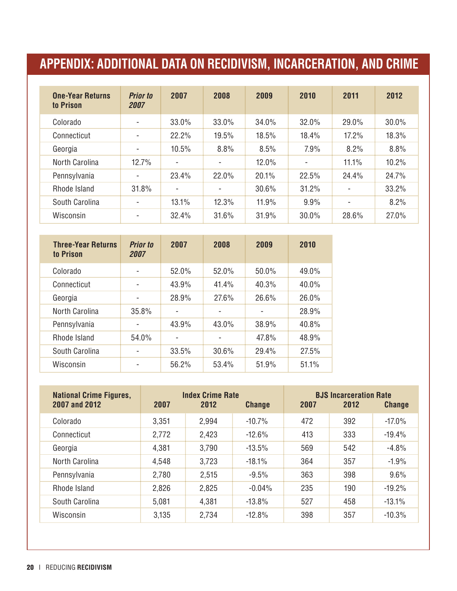## **Appendix: Additional Data on Recidivism, Incarceration, and Crime**

| <b>One-Year Returns</b><br>to Prison | <b>Prior to</b><br>2007  | 2007                     | 2008  | 2009  | 2010  | 2011                     | 2012  |
|--------------------------------------|--------------------------|--------------------------|-------|-------|-------|--------------------------|-------|
| Colorado                             | $\overline{\phantom{a}}$ | 33.0%                    | 33.0% | 34.0% | 32.0% | 29.0%                    | 30.0% |
| Connecticut                          |                          | 22.2%                    | 19.5% | 18.5% | 18.4% | 17.2%                    | 18.3% |
| Georgia                              |                          | 10.5%                    | 8.8%  | 8.5%  | 7.9%  | 8.2%                     | 8.8%  |
| North Carolina                       | 12.7%                    | $\overline{\phantom{a}}$ |       | 12.0% |       | 11.1%                    | 10.2% |
| Pennsylvania                         |                          | 23.4%                    | 22.0% | 20.1% | 22.5% | 24.4%                    | 24.7% |
| Rhode Island                         | 31.8%                    | $\overline{\phantom{a}}$ |       | 30.6% | 31.2% | $\overline{\phantom{a}}$ | 33.2% |
| South Carolina                       |                          | 13.1%                    | 12.3% | 11.9% | 9.9%  | $\overline{\phantom{a}}$ | 8.2%  |
| Wisconsin                            |                          | 32.4%                    | 31.6% | 31.9% | 30.0% | 28.6%                    | 27.0% |

| <b>Three-Year Returns</b><br>to Prison | <b>Prior to</b><br>2007  | 2007                         | 2008                     | 2009                         | 2010  |
|----------------------------------------|--------------------------|------------------------------|--------------------------|------------------------------|-------|
| Colorado                               |                          | 52.0%                        | 52.0%                    | 50.0%                        | 49.0% |
| Connecticut                            | $\overline{\phantom{a}}$ | 43.9%                        | 41.4%                    | 40.3%                        | 40.0% |
| Georgia                                | -                        | 28.9%                        | 27.6%                    | 26.6%                        | 26.0% |
| North Carolina                         | 35.8%                    | $\qquad \qquad \blacksquare$ |                          | $\qquad \qquad \blacksquare$ | 28.9% |
| Pennsylvania                           |                          | 43.9%                        | 43.0%                    | 38.9%                        | 40.8% |
| Rhode Island                           | 54.0%                    | $\overline{\phantom{0}}$     | $\overline{\phantom{0}}$ | 47.8%                        | 48.9% |
| South Carolina                         |                          | 33.5%                        | 30.6%                    | 29.4%                        | 27.5% |
| Wisconsin                              |                          | 56.2%                        | 53.4%                    | 51.9%                        | 51.1% |

| <b>National Crime Figures,</b><br>2007 and 2012 | 2007  | <b>Index Crime Rate</b><br>2012 | <b>Change</b> | 2007 | <b>BJS Incarceration Rate</b><br>2012 | <b>Change</b> |
|-------------------------------------------------|-------|---------------------------------|---------------|------|---------------------------------------|---------------|
| Colorado                                        | 3,351 | 2,994                           | $-10.7%$      | 472  | 392                                   | $-17.0%$      |
| Connecticut                                     | 2,772 | 2,423                           | $-12.6\%$     | 413  | 333                                   | $-19.4%$      |
| Georgia                                         | 4,381 | 3,790                           | $-13.5%$      | 569  | 542                                   | $-4.8%$       |
| North Carolina                                  | 4,548 | 3,723                           | $-18.1%$      | 364  | 357                                   | $-1.9%$       |
| Pennsylvania                                    | 2,780 | 2,515                           | $-9.5%$       | 363  | 398                                   | 9.6%          |
| Rhode Island                                    | 2,826 | 2,825                           | $-0.04\%$     | 235  | 190                                   | $-19.2%$      |
| South Carolina                                  | 5,081 | 4,381                           | $-13.8%$      | 527  | 458                                   | $-13.1%$      |
| Wisconsin                                       | 3,135 | 2,734                           | $-12.8%$      | 398  | 357                                   | $-10.3%$      |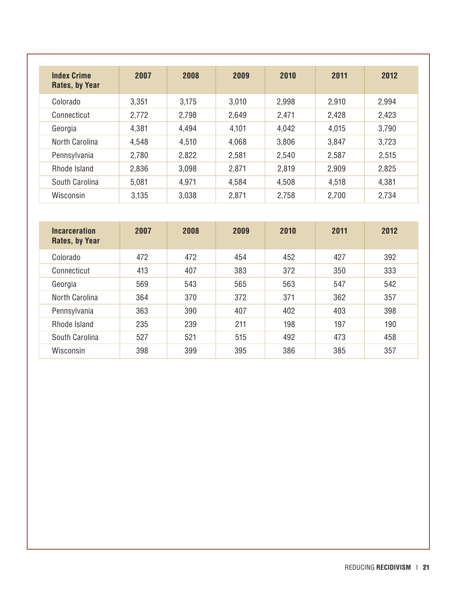| <b>Index Crime</b><br>Rates, by Year | 2007  | 2008  | 2009  | 2010  | 2011  | 2012  |
|--------------------------------------|-------|-------|-------|-------|-------|-------|
| Colorado                             | 3,351 | 3,175 | 3,010 | 2,998 | 2,910 | 2,994 |
| Connecticut                          | 2,772 | 2,798 | 2,649 | 2,471 | 2,428 | 2,423 |
| Georgia                              | 4,381 | 4,494 | 4,101 | 4,042 | 4,015 | 3,790 |
| North Carolina                       | 4,548 | 4,510 | 4,068 | 3,806 | 3,847 | 3,723 |
| Pennsylvania                         | 2,780 | 2,822 | 2,581 | 2,540 | 2,587 | 2,515 |
| Rhode Island                         | 2,836 | 3,098 | 2,871 | 2,819 | 2,909 | 2,825 |
| South Carolina                       | 5,081 | 4,971 | 4,584 | 4,508 | 4,518 | 4,381 |
| Wisconsin                            | 3.135 | 3,038 | 2,871 | 2,758 | 2,700 | 2,734 |

| <b>Incarceration</b><br>Rates, by Year | 2007 | 2008 | 2009 | 2010 | 2011 | 2012 |
|----------------------------------------|------|------|------|------|------|------|
| Colorado                               | 472  | 472  | 454  | 452  | 427  | 392  |
| Connecticut                            | 413  | 407  | 383  | 372  | 350  | 333  |
| Georgia                                | 569  | 543  | 565  | 563  | 547  | 542  |
| North Carolina                         | 364  | 370  | 372  | 371  | 362  | 357  |
| Pennsylvania                           | 363  | 390  | 407  | 402  | 403  | 398  |
| Rhode Island                           | 235  | 239  | 211  | 198  | 197  | 190  |
| South Carolina                         | 527  | 521  | 515  | 492  | 473  | 458  |
| Wisconsin                              | 398  | 399  | 395  | 386  | 385  | 357  |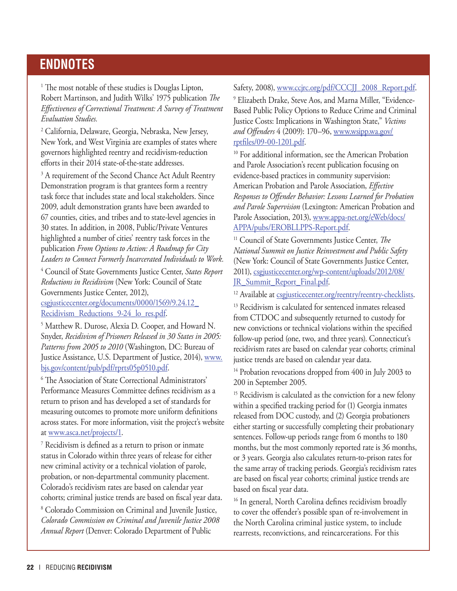### **endnotes**

<sup>1</sup> The most notable of these studies is Douglas Lipton, Robert Martinson, and Judith Wilks' 1975 publication *The Effectiveness of Correctional Treatment: A Survey of Treatment Evaluation Studies.*

2 California, Delaware, Georgia, Nebraska, New Jersey, New York, and West Virginia are examples of states where governors highlighted reentry and recidivism-reduction efforts in their 2014 state-of-the-state addresses.

<sup>3</sup> A requirement of the Second Chance Act Adult Reentry Demonstration program is that grantees form a reentry task force that includes state and local stakeholders. Since 2009, adult demonstration grants have been awarded to 67 counties, cities, and tribes and to state-level agencies in 30 states. In addition, in 2008, Public/Private Ventures highlighted a number of cities' reentry task forces in the publication *From Options to Action: A Roadmap for City Leaders to Connect Formerly Incarcerated Individuals to Work.*

4 Council of State Governments Justice Center, *States Report Reductions in Recidivism* (New York: Council of State Governments Justice Center, 2012), csgjusticecenter.org/documents/0000/1569/9.24.12\_ Recidivism\_Reductions\_9-24\_lo\_res.pdf.

5 Matthew R. Durose, Alexia D. Cooper, and Howard N. Snyder, *Recidivism of Prisoners Released in 30 States in 2005: Patterns from 2005 to 2010* (Washington, DC: Bureau of Justice Assistance, U.S. Department of Justice, 2014), www. bjs.gov/content/pub/pdf/rprts05p0510.pdf.

6 The Association of State Correctional Administrators' Performance Measures Committee defines recidivism as a return to prison and has developed a set of standards for measuring outcomes to promote more uniform definitions across states. For more information, visit the project's website at www.asca.net/projects/1.

7 Recidivism is defined as a return to prison or inmate status in Colorado within three years of release for either new criminal activity or a technical violation of parole, probation, or non-departmental community placement. Colorado's recidivism rates are based on calendar year cohorts; criminal justice trends are based on fiscal year data.

8 Colorado Commission on Criminal and Juvenile Justice, *Colorado Commission on Criminal and Juvenile Justice 2008 Annual Report* (Denver: Colorado Department of Public

Safety, 2008), www.ccjrc.org/pdf/CCCJJ\_2008\_Report.pdf.

9 Elizabeth Drake, Steve Aos, and Marna Miller, "Evidence-Based Public Policy Options to Reduce Crime and Criminal Justice Costs: Implications in Washington State," *Victims and Offenders* 4 (2009): 170–96, www.wsipp.wa.gov/ rptfiles/09-00-1201.pdf.

<sup>10</sup> For additional information, see the American Probation and Parole Association's recent publication focusing on evidence-based practices in community supervision: American Probation and Parole Association, *Effective Responses to Offender Behavior: Lessons Learned for Probation and Parole Supervision* (Lexington: American Probation and Parole Association, 2013), www.appa-net.org/eWeb/docs/ APPA/pubs/EROBLLPPS-Report.pdf.

11 Council of State Governments Justice Center, *The National Summit on Justice Reinvestment and Public Safety* (New York: Council of State Governments Justice Center, 2011), csgjusticecenter.org/wp-content/uploads/2012/08/ JR Summit Report Final.pdf.

<sup>12</sup> Available at csgjusticecenter.org/reentry/reentry-checklists.

<sup>13</sup> Recidivism is calculated for sentenced inmates released from CTDOC and subsequently returned to custody for new convictions or technical violations within the specified follow-up period (one, two, and three years). Connecticut's recidivism rates are based on calendar year cohorts; criminal justice trends are based on calendar year data.

<sup>14</sup> Probation revocations dropped from 400 in July 2003 to 200 in September 2005.

<sup>15</sup> Recidivism is calculated as the conviction for a new felony within a specified tracking period for (1) Georgia inmates released from DOC custody, and (2) Georgia probationers either starting or successfully completing their probationary sentences. Follow-up periods range from 6 months to 180 months, but the most commonly reported rate is 36 months, or 3 years. Georgia also calculates return-to-prison rates for the same array of tracking periods. Georgia's recidivism rates are based on fiscal year cohorts; criminal justice trends are based on fiscal year data.

<sup>16</sup> In general, North Carolina defines recidivism broadly to cover the offender's possible span of re-involvement in the North Carolina criminal justice system, to include rearrests, reconvictions, and reincarcerations. For this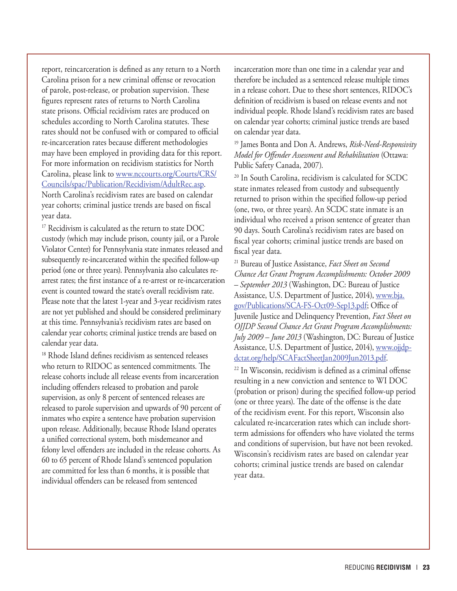report, reincarceration is defined as any return to a North Carolina prison for a new criminal offense or revocation of parole, post-release, or probation supervision. These figures represent rates of returns to North Carolina state prisons. Official recidivism rates are produced on schedules according to North Carolina statutes. These rates should not be confused with or compared to official re-incarceration rates because different methodologies may have been employed in providing data for this report. For more information on recidivism statistics for North Carolina, please link to www.nccourts.org/Courts/CRS/ Councils/spac/Publication/Recidivism/AdultRec.asp. North Carolina's recidivism rates are based on calendar year cohorts; criminal justice trends are based on fiscal year data.

<sup>17</sup> Recidivism is calculated as the return to state DOC custody (which may include prison, county jail, or a Parole Violator Center) for Pennsylvania state inmates released and subsequently re-incarcerated within the specified follow-up period (one or three years). Pennsylvania also calculates rearrest rates; the first instance of a re-arrest or re-incarceration event is counted toward the state's overall recidivism rate. Please note that the latest 1-year and 3-year recidivism rates are not yet published and should be considered preliminary at this time. Pennsylvania's recidivism rates are based on calendar year cohorts; criminal justice trends are based on calendar year data.

<sup>18</sup> Rhode Island defines recidivism as sentenced releases who return to RIDOC as sentenced commitments. The release cohorts include all release events from incarceration including offenders released to probation and parole supervision, as only 8 percent of sentenced releases are released to parole supervision and upwards of 90 percent of inmates who expire a sentence have probation supervision upon release. Additionally, because Rhode Island operates a unified correctional system, both misdemeanor and felony level offenders are included in the release cohorts. As 60 to 65 percent of Rhode Island's sentenced population are committed for less than 6 months, it is possible that individual offenders can be released from sentenced

incarceration more than one time in a calendar year and therefore be included as a sentenced release multiple times in a release cohort. Due to these short sentences, RIDOC's definition of recidivism is based on release events and not individual people. Rhode Island's recidivism rates are based on calendar year cohorts; criminal justice trends are based on calendar year data.

19 James Bonta and Don A. Andrews, *Risk-Need-Responsivity Model for Offender Assessment and Rehabilitation* (Ottawa: Public Safety Canada, 2007).

20 In South Carolina, recidivism is calculated for SCDC state inmates released from custody and subsequently returned to prison within the specified follow-up period (one, two, or three years). An SCDC state inmate is an individual who received a prison sentence of greater than 90 days. South Carolina's recidivism rates are based on fiscal year cohorts; criminal justice trends are based on fiscal year data.

21 Bureau of Justice Assistance, *Fact Sheet on Second Chance Act Grant Program Accomplishments: October 2009 – September 2013* (Washington, DC: Bureau of Justice Assistance, U.S. Department of Justice, 2014), www.bja. gov/Publications/SCA-FS-Oct09-Sep13.pdf; Office of Juvenile Justice and Delinquency Prevention, *Fact Sheet on OJJDP Second Chance Act Grant Program Accomplishments: July 2009 – June 2013* (Washington, DC: Bureau of Justice Assistance, U.S. Department of Justice, 2014), www.ojjdpdctat.org/help/SCAFactSheetJan2009Jun2013.pdf.

22 In Wisconsin, recidivism is defined as a criminal offense resulting in a new conviction and sentence to WI DOC (probation or prison) during the specified follow-up period (one or three years). The date of the offense is the date of the recidivism event. For this report, Wisconsin also calculated re-incarceration rates which can include shortterm admissions for offenders who have violated the terms and conditions of supervision, but have not been revoked. Wisconsin's recidivism rates are based on calendar year cohorts; criminal justice trends are based on calendar year data.